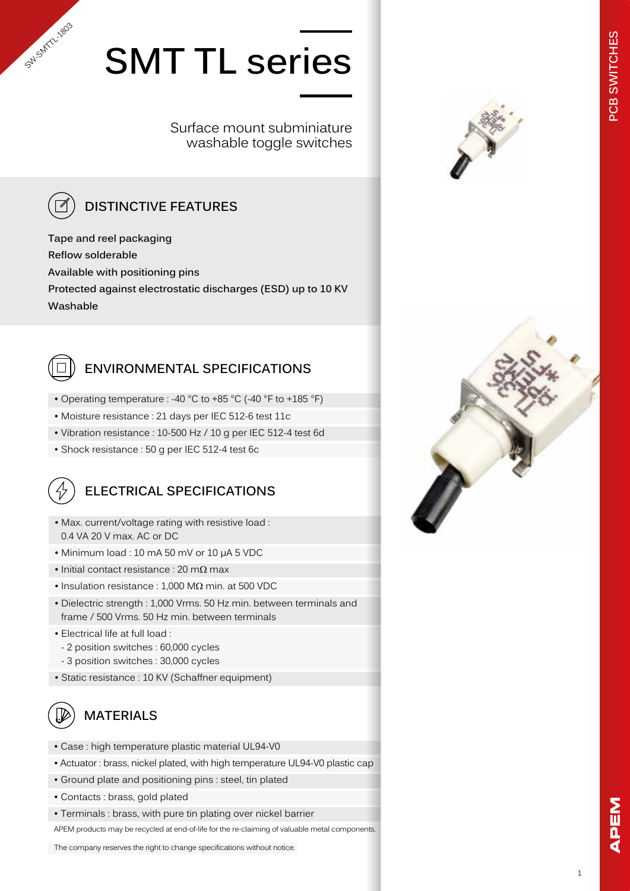# **SMT TL series**

Surface mount subminiature washable toggle switches



SW-SMTTL-1803

# **DISTINCTIVE FEATURES**

**Tape and reel packaging Reflow solderable Available with positioning pins Protected against electrostatic discharges (ESD) up to 10 KV Washable**



# **ENVIRONMENTAL SPECIFICATIONS**

- Operating temperature : -40 °C to +85 °C (-40 °F to +185 °F)
- Moisture resistance : 21 days per IEC 512-6 test 11c
- Vibration resistance : 10-500 Hz / 10 g per IEC 512-4 test 6d
- Shock resistance : 50 g per IEC 512-4 test 6c



- Max. current/voltage rating with resistive load : 0.4 VA 20 V max. AC or DC
- Minimum load : 10 mA 50 mV or 10 µA 5 VDC
- Initial contact resistance : 20 m $\Omega$  max
- Insulation resistance : 1,000 MΩ min. at 500 VDC
- Dielectric strength : 1,000 Vrms. 50 Hz min. between terminals and frame / 500 Vrms. 50 Hz min. between terminals
- Electrical life at full load :
- 2 position switches : 60,000 cycles
- 3 position switches : 30,000 cycles
- Static resistance : 10 KV (Schaffner equipment)

# **MATERIALS**

- Case : high temperature plastic material UL94-V0
- Actuator : brass, nickel plated, with high temperature UL94-V0 plastic cap
- Ground plate and positioning pins : steel, tin plated
- Contacts : brass, gold plated
- Terminals : brass, with pure tin plating over nickel barrier

APEM products may be recycled at end-of-life for the re-claiming of valuable metal components.

The company reserves the right to change specifications without notice.



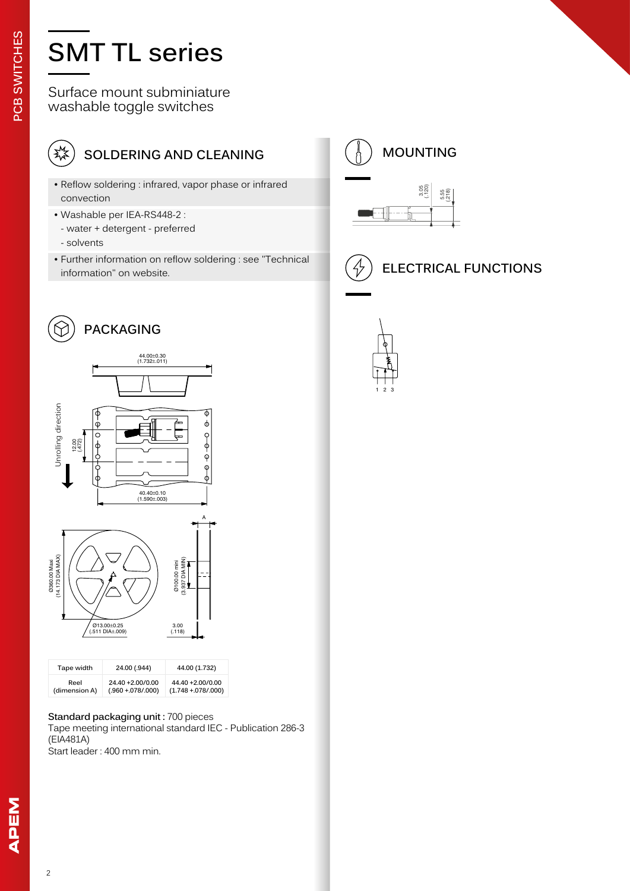# **SMT TL series**

Surface mount subminiature washable toggle switches



# **SOLDERING AND CLEANING**

- Reflow soldering : infrared, vapor phase or infrared<br>convection 3.05 convection
- Washable per IEA-RS448-2 :
- water + detergent preferred
- solvents
- Further information on reflow soldering : see "Technical information" on website.

 $\phi$ 







| Tape width    | 24.00 (.944)        | 44.00 (1.732)           |
|---------------|---------------------|-------------------------|
| Reel          | 24.40 +2.00/0.00    | 44.40 +2.00/0.00        |
| (dimension A) | $(.960 + .078/000)$ | $(1.748 + 0.078/0.000)$ |

#### **Standard packaging unit :** 700 pieces

Tape meeting international standard IEC - Publication 286-3 (EIA481A) Start leader : 400 mm min.





1 2 3